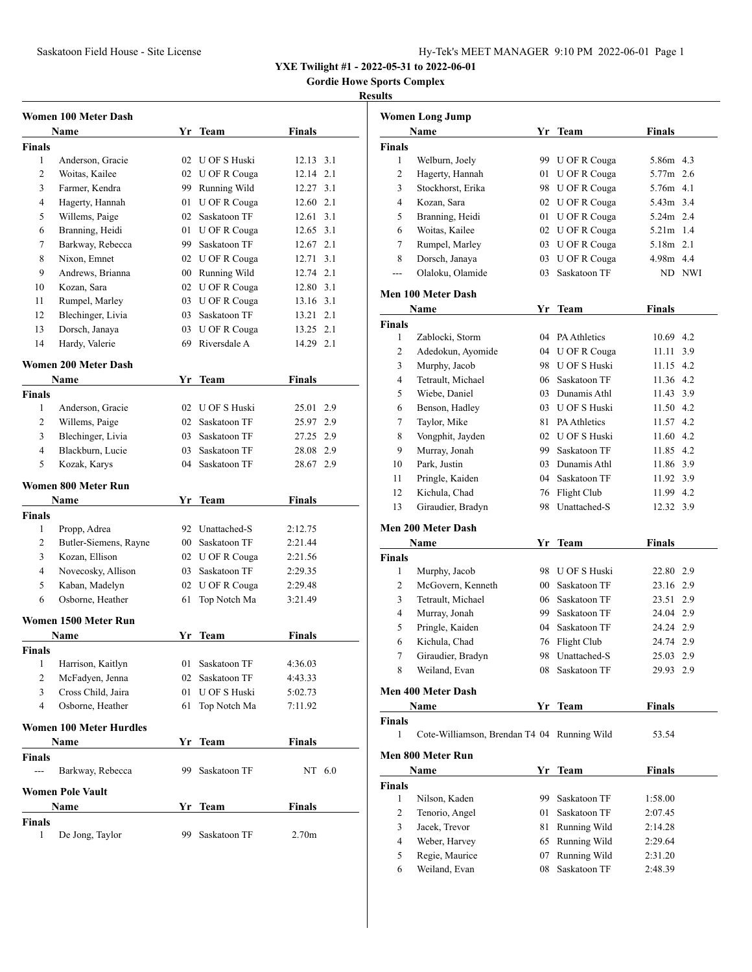# Saskatoon Field House - Site License **Hy-Tek's MEET MANAGER** 9:10 PM 2022-06-01 Page 1

**YXE Twilight #1 - 2022-05-31 to 2022-06-01**

**Gordie Howe Sports Complex**

### **Results**

|                          | Women 100 Meter Dash                    |    |                                    |                   |  |  |  |
|--------------------------|-----------------------------------------|----|------------------------------------|-------------------|--|--|--|
|                          | Name                                    |    | Yr Team                            | Finals            |  |  |  |
| Finals                   |                                         |    |                                    |                   |  |  |  |
| 1                        | Anderson, Gracie                        |    | 02 U OF S Huski                    | 12.13 3.1         |  |  |  |
| 2                        | Woitas, Kailee                          |    | 02 U OF R Couga                    | 12.14 2.1         |  |  |  |
| 3                        | Farmer, Kendra                          |    | 99 Running Wild                    | 12.27 3.1         |  |  |  |
| 4                        | Hagerty, Hannah                         |    | 01 U OF R Couga                    | 12.60 2.1         |  |  |  |
| 5                        | Willems, Paige                          |    | 02 Saskatoon TF                    | 12.61 3.1         |  |  |  |
| 6                        | Branning, Heidi                         |    | 01 U OF R Couga                    | 12.65 3.1         |  |  |  |
| 7                        | Barkway, Rebecca                        |    | 99 Saskatoon TF                    | 12.67 2.1         |  |  |  |
| 8                        | Nixon, Emnet                            |    | 02 U OF R Couga                    | 12.71 3.1         |  |  |  |
| 9                        | Andrews, Brianna                        |    | 00 Running Wild                    | 12.74 2.1         |  |  |  |
| 10                       | Kozan, Sara                             |    | 02 U OF R Couga                    | 12.80 3.1         |  |  |  |
| 11                       | Rumpel, Marley                          |    | 03 U OF R Couga                    | 13.16 3.1         |  |  |  |
| 12                       | Blechinger, Livia                       |    | 03 Saskatoon TF                    | 13.21 2.1         |  |  |  |
| 13                       | Dorsch, Janaya                          | 03 | U OF R Couga                       | 13.25 2.1         |  |  |  |
| 14                       | Hardy, Valerie                          |    | 69 Riversdale A                    | 14.29 2.1         |  |  |  |
|                          |                                         |    |                                    |                   |  |  |  |
|                          | <b>Women 200 Meter Dash</b>             |    |                                    |                   |  |  |  |
|                          | <b>Name</b>                             |    | Yr Team                            | Finals            |  |  |  |
| <b>Finals</b>            |                                         |    |                                    |                   |  |  |  |
| 1                        | Anderson, Gracie                        |    | 02 U OF S Huski                    | 25.01 2.9         |  |  |  |
| 2                        | Willems, Paige                          |    | 02 Saskatoon TF                    | 25.97 2.9         |  |  |  |
| 3                        | Blechinger, Livia                       |    | 03 Saskatoon TF                    | 27.25 2.9         |  |  |  |
| 4                        | Blackburn, Lucie                        |    | 03 Saskatoon TF                    | 28.08 2.9         |  |  |  |
| 5                        | Kozak, Karys                            |    | 04 Saskatoon TF                    | 28.67 2.9         |  |  |  |
|                          | Women 800 Meter Run                     |    |                                    |                   |  |  |  |
|                          |                                         |    |                                    |                   |  |  |  |
|                          | Name                                    |    | Yr Team                            | Finals            |  |  |  |
| <b>Finals</b>            |                                         |    |                                    |                   |  |  |  |
| 1                        | Propp, Adrea                            |    | 92 Unattached-S                    | 2:12.75           |  |  |  |
| 2                        |                                         |    | 00 Saskatoon TF                    | 2:21.44           |  |  |  |
| 3                        | Butler-Siemens, Rayne<br>Kozan, Ellison |    |                                    | 2:21.56           |  |  |  |
| 4                        |                                         |    | 02 U OF R Couga<br>03 Saskatoon TF | 2:29.35           |  |  |  |
| 5                        | Novecosky, Allison                      |    |                                    | 2:29.48           |  |  |  |
| 6                        | Kaban, Madelyn<br>Osborne, Heather      | 61 | 02 U OF R Couga<br>Top Notch Ma    | 3:21.49           |  |  |  |
|                          |                                         |    |                                    |                   |  |  |  |
|                          | Women 1500 Meter Run                    |    |                                    |                   |  |  |  |
|                          | Name                                    | Yr | Team                               | Finals            |  |  |  |
| <b>Finals</b>            |                                         |    |                                    |                   |  |  |  |
| $\mathbf{1}$             | Harrison, Kaitlyn                       | 01 | Saskatoon TF                       | 4:36.03           |  |  |  |
| $\mathbf{2}$             | McFadyen, Jenna                         | 02 | Saskatoon TF                       | 4:43.33           |  |  |  |
| 3                        | Cross Child, Jaira                      | 01 | U OF S Huski                       | 5:02.73           |  |  |  |
| 4                        | Osborne, Heather                        | 61 | Top Notch Ma                       | 7:11.92           |  |  |  |
|                          |                                         |    |                                    |                   |  |  |  |
|                          | <b>Women 100 Meter Hurdles</b>          |    |                                    |                   |  |  |  |
|                          | <b>Name</b>                             | Yr | Team                               | <b>Finals</b>     |  |  |  |
| Finals<br>$\overline{a}$ |                                         | 99 |                                    |                   |  |  |  |
|                          | Barkway, Rebecca                        |    | Saskatoon TF                       | NT 6.0            |  |  |  |
|                          | <b>Women Pole Vault</b>                 |    |                                    |                   |  |  |  |
|                          | Name                                    | Yr | <b>Team</b>                        | <b>Finals</b>     |  |  |  |
| <b>Finals</b><br>1       | De Jong, Taylor                         | 99 | Saskatoon TF                       | 2.70 <sub>m</sub> |  |  |  |

|               | <b>Women Long Jump</b>                      |                 |                     |               |        |  |
|---------------|---------------------------------------------|-----------------|---------------------|---------------|--------|--|
|               | Name                                        |                 | Yr Team             | <b>Finals</b> |        |  |
| <b>Finals</b> |                                             |                 |                     |               |        |  |
| 1             | Welburn, Joely                              | 99.             | U OF R Couga        | 5.86m 4.3     |        |  |
| 2             | Hagerty, Hannah                             | 01              | U OF R Couga        | 5.77m         | 2.6    |  |
| 3             | Stockhorst, Erika                           |                 | 98 U OF R Couga     | 5.76m 4.1     |        |  |
| 4             | Kozan, Sara                                 |                 | 02 U OF R Couga     | 5.43m 3.4     |        |  |
| 5             | Branning, Heidi                             |                 | 01 U OF R Couga     | 5.24m 2.4     |        |  |
| 6             | Woitas, Kailee                              |                 | 02 U OF R Couga     | 5.21m 1.4     |        |  |
| 7             | Rumpel, Marley                              |                 | 03 U OF R Couga     | 5.18m 2.1     |        |  |
| 8             | Dorsch, Janaya                              |                 | 03 U OF R Couga     | 4.98m 4.4     |        |  |
| $---$         | Olaloku, Olamide                            | 03              | Saskatoon TF        |               | ND NWI |  |
|               |                                             |                 |                     |               |        |  |
|               | Men 100 Meter Dash                          |                 |                     |               |        |  |
|               | Name                                        | Yr              | Team                | <b>Finals</b> |        |  |
| Finals        |                                             |                 |                     |               |        |  |
| 1             | Zablocki, Storm                             |                 | 04 PA Athletics     | 10.69 4.2     |        |  |
| 2             | Adedokun, Ayomide                           | 04              | U OF R Couga        | 11.11         | 3.9    |  |
| 3             | Murphy, Jacob                               | 98              | <b>U OF S Huski</b> | 11.15         | 4.2    |  |
| 4             | Tetrault, Michael                           |                 | 06 Saskatoon TF     | 11.36         | 4.2    |  |
| 5             | Wiebe, Daniel                               |                 | 03 Dunamis Athl     | 11.43         | 3.9    |  |
| 6             | Benson, Hadley                              |                 | 03 U OF S Huski     | 11.50 4.2     |        |  |
| 7             | Taylor, Mike                                |                 | 81 PA Athletics     | 11.57         | 4.2    |  |
| 8             | Vongphit, Jayden                            |                 | 02 U OF S Huski     | 11.60         | 4.2    |  |
| 9             | Murray, Jonah                               |                 | 99 Saskatoon TF     | 11.85         | 4.2    |  |
| 10            | Park, Justin                                |                 | 03 Dunamis Athl     | 11.86 3.9     |        |  |
| 11            | Pringle, Kaiden                             |                 | 04 Saskatoon TF     | 11.92 3.9     |        |  |
| 12            | Kichula, Chad                               |                 | 76 Flight Club      | 11.99 4.2     |        |  |
| 13            | Giraudier, Bradyn                           | 98.             | Unattached-S        | 12.32 3.9     |        |  |
|               | <b>Men 200 Meter Dash</b>                   |                 |                     |               |        |  |
|               | Name                                        |                 | Yr Team             | <b>Finals</b> |        |  |
| <b>Finals</b> |                                             |                 |                     |               |        |  |
| 1             | Murphy, Jacob                               |                 | 98 U OF S Huski     | 22.80         | 2.9    |  |
| 2             | McGovern, Kenneth                           | 00 <sup>1</sup> | Saskatoon TF        | 23.16         | 2.9    |  |
| 3             | Tetrault, Michael                           | 06              | Saskatoon TF        | 23.51         | 2.9    |  |
| 4             | Murray, Jonah                               |                 | 99 Saskatoon TF     | 24.04         | 2.9    |  |
| 5             | Pringle, Kaiden                             |                 | 04 Saskatoon TF     | 24.24         | 2.9    |  |
| 6             | Kichula, Chad                               |                 | 76 Flight Club      | 24.74 2.9     |        |  |
| $\tau$        | Giraudier, Bradyn                           |                 | 98 Unattached-S     | 25.03 2.9     |        |  |
| 8             | Weiland, Evan                               |                 | 08 Saskatoon TF     | 29.93 2.9     |        |  |
|               |                                             |                 |                     |               |        |  |
|               | <b>Men 400 Meter Dash</b>                   |                 |                     |               |        |  |
|               | Name                                        | Yr              | <b>Team</b>         | <b>Finals</b> |        |  |
| <b>Finals</b> |                                             |                 |                     |               |        |  |
| 1             | Cote-Williamson, Brendan T4 04 Running Wild |                 |                     | 53.54         |        |  |
|               | Men 800 Meter Run                           |                 |                     |               |        |  |
|               | Name                                        |                 | Yr Team             | <b>Finals</b> |        |  |
| <b>Finals</b> |                                             |                 |                     |               |        |  |
| 1             | Nilson, Kaden                               | 99              | Saskatoon TF        | 1:58.00       |        |  |
| 2             | Tenorio, Angel                              | 01              | Saskatoon TF        | 2:07.45       |        |  |
| 3             | Jacek, Trevor                               | 81              | Running Wild        | 2:14.28       |        |  |
| 4             | Weber, Harvey                               | 65              | Running Wild        | 2:29.64       |        |  |
| 5             | Regie, Maurice                              | 07              | Running Wild        | 2:31.20       |        |  |
| 6             | Weiland, Evan                               | 08              | Saskatoon TF        | 2:48.39       |        |  |
|               |                                             |                 |                     |               |        |  |
|               |                                             |                 |                     |               |        |  |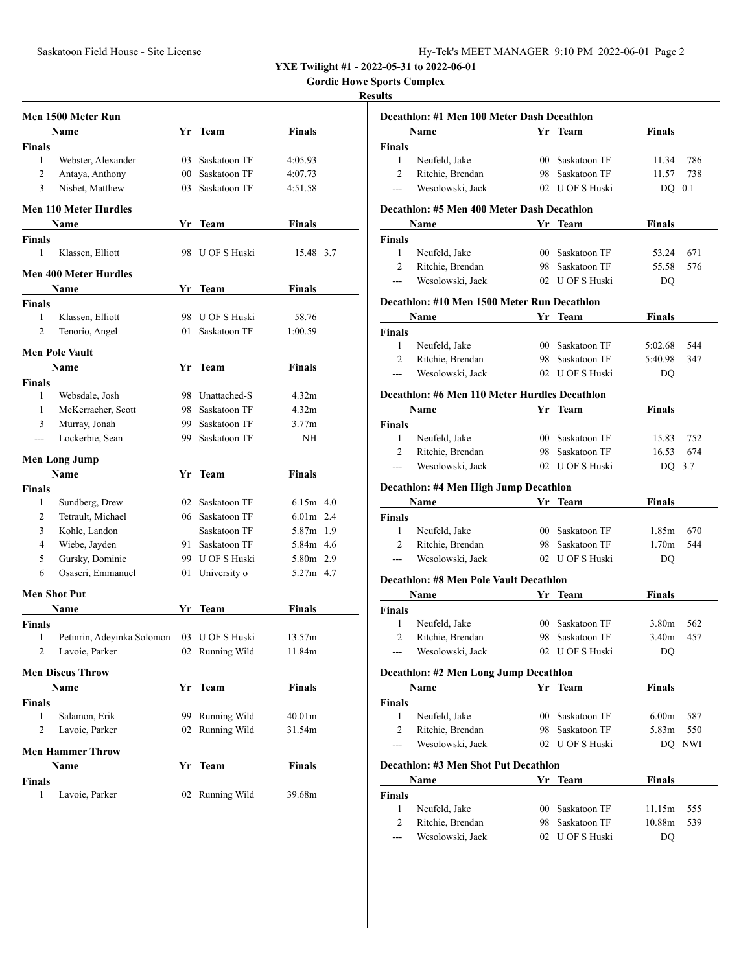**YXE Twilight #1 - 2022-05-31 to 2022-06-01**

**Gordie Howe Sports Complex**

### **Results**

|               | Men 1500 Meter Run           |     |                 |                    |  |
|---------------|------------------------------|-----|-----------------|--------------------|--|
|               | Name                         |     | Yr Team         | Finals             |  |
| Finals        |                              |     |                 |                    |  |
| 1             | Webster, Alexander           | 03  | Saskatoon TF    | 4:05.93            |  |
| 2             | Antaya, Anthony              |     | 00 Saskatoon TF | 4:07.73            |  |
| 3             | Nisbet, Matthew              |     | 03 Saskatoon TF | 4:51.58            |  |
|               | Men 110 Meter Hurdles        |     |                 |                    |  |
|               | Name                         |     | Yr Team         | Finals             |  |
| Finals        |                              |     |                 |                    |  |
| 1             | Klassen, Elliott             |     | 98 U OF S Huski | 15.48 3.7          |  |
|               | <b>Men 400 Meter Hurdles</b> |     |                 |                    |  |
|               | Name                         |     | Yr Team         | Finals             |  |
| <b>Finals</b> |                              |     |                 |                    |  |
| 1             | Klassen, Elliott             |     | 98 U OF S Huski | 58.76              |  |
| 2             | Tenorio, Angel               | 01  | Saskatoon TF    | 1:00.59            |  |
|               | <b>Men Pole Vault</b>        |     |                 |                    |  |
|               | Name                         |     | Yr Team         | Finals             |  |
| <b>Finals</b> |                              |     |                 |                    |  |
| 1             | Websdale, Josh               |     | 98 Unattached-S | 4.32m              |  |
| 1             | McKerracher, Scott           |     | 98 Saskatoon TF | 4.32m              |  |
| 3             | Murray, Jonah                |     | 99 Saskatoon TF | 3.77m              |  |
| ---           | Lockerbie, Sean              |     | 99 Saskatoon TF | NH                 |  |
|               | <b>Men Long Jump</b>         |     |                 |                    |  |
|               | Name                         |     | Yr Team         | Finals             |  |
| Finals        |                              |     |                 |                    |  |
| 1             | Sundberg, Drew               | 02  | Saskatoon TF    | $6.15m$ 4.0        |  |
| 2             | Tetrault, Michael            |     | 06 Saskatoon TF | $6.01m$ 2.4        |  |
| 3             | Kohle, Landon                |     | Saskatoon TF    | 5.87m 1.9          |  |
| 4             | Wiebe, Jayden                | 91. | Saskatoon TF    | 5.84m 4.6          |  |
| 5             | Gursky, Dominic              |     | 99 U OF S Huski | 5.80m 2.9          |  |
| 6             | Osaseri, Emmanuel            |     | 01 University o | 5.27m 4.7          |  |
| Men Shot Put  |                              |     |                 |                    |  |
|               | Name                         | Yr  | Team            | Finals             |  |
| Finals        |                              |     |                 |                    |  |
| 1             | Petinrin, Adeyinka Solomon   |     | 03 U OF S Huski | 13.57m             |  |
| 2             | Lavoie, Parker               | 02  | Running Wild    | 11.84m             |  |
|               | <b>Men Discus Throw</b>      |     |                 |                    |  |
|               | Name                         |     | Yr Team         | Finals             |  |
| Finals        |                              |     |                 |                    |  |
| 1             | Salamon, Erik                | 99  | Running Wild    | 40.01 <sub>m</sub> |  |
| 2             | Lavoie, Parker               | 02  | Running Wild    | 31.54m             |  |
|               | <b>Men Hammer Throw</b>      |     |                 |                    |  |
|               | Name                         | Yr  |                 | <b>Finals</b>      |  |
|               |                              |     | Team            |                    |  |
| Finals<br>1   | Lavoie, Parker               | 02  | Running Wild    | 39.68m             |  |
|               |                              |     |                 |                    |  |

|                         | Decathlon: #1 Men 100 Meter Dash Decathlon    |                 |                 |                   |     |
|-------------------------|-----------------------------------------------|-----------------|-----------------|-------------------|-----|
|                         | Name                                          |                 | Yr Team         | Finals            |     |
| Finals                  |                                               |                 |                 |                   |     |
| $\mathbf{1}$            | Neufeld, Jake                                 |                 | 00 Saskatoon TF | 11.34             | 786 |
| 2                       | Ritchie, Brendan                              |                 | 98 Saskatoon TF | 11.57             | 738 |
| ---                     | Wesolowski, Jack                              |                 | 02 U OF S Huski | DQ                | 0.1 |
|                         | Decathlon: #5 Men 400 Meter Dash Decathlon    |                 |                 |                   |     |
|                         | Name                                          |                 | Yr Team         | Finals            |     |
| Finals                  |                                               |                 |                 |                   |     |
| 1                       | Neufeld, Jake                                 |                 | 00 Saskatoon TF | 53.24             | 671 |
| $\overline{c}$          | Ritchie, Brendan                              |                 | 98 Saskatoon TF | 55.58             | 576 |
| ---                     | Wesolowski, Jack                              |                 | 02 U OF S Huski | DQ                |     |
|                         | Decathlon: #10 Men 1500 Meter Run Decathlon   |                 |                 |                   |     |
|                         | Name                                          |                 | Yr Team         | Finals            |     |
| Finals                  |                                               |                 |                 |                   |     |
| $\mathbf{1}$            | Neufeld, Jake                                 |                 | 00 Saskatoon TF | 5:02.68           | 544 |
| 2                       | Ritchie, Brendan                              | 98              | Saskatoon TF    | 5:40.98           | 347 |
| ---                     | Wesolowski, Jack                              |                 | 02 U OF S Huski | DQ                |     |
|                         |                                               |                 |                 |                   |     |
|                         | Decathlon: #6 Men 110 Meter Hurdles Decathlon |                 |                 |                   |     |
|                         | Name                                          |                 | Yr Team         | <b>Finals</b>     |     |
| Finals                  |                                               |                 |                 |                   |     |
| 1                       | Neufeld, Jake                                 |                 | 00 Saskatoon TF | 15.83             | 752 |
| $\overline{c}$          | Ritchie, Brendan                              |                 | 98 Saskatoon TF | 16.53             | 674 |
| ---                     | Wesolowski, Jack                              |                 | 02 U OF S Huski | DQ                | 3.7 |
|                         | Decathlon: #4 Men High Jump Decathlon         |                 |                 |                   |     |
|                         | Name                                          |                 | Yr Team         | Finals            |     |
| Finals                  |                                               |                 |                 |                   |     |
| $\mathbf{1}$            | Neufeld, Jake                                 |                 | 00 Saskatoon TF | 1.85m             | 670 |
| $\overline{2}$          | Ritchie, Brendan                              |                 | 98 Saskatoon TF | 1.70 <sub>m</sub> | 544 |
| ---                     | Wesolowski, Jack                              |                 | 02 U OF S Huski | DQ                |     |
|                         | <b>Decathlon: #8 Men Pole Vault Decathlon</b> |                 |                 |                   |     |
|                         | Name                                          |                 | Yr Team         | Finals            |     |
| Finals                  |                                               |                 |                 |                   |     |
| 1                       | Neufeld, Jake                                 |                 | 00 Saskatoon TF | 3.80m             | 562 |
| 2                       | Ritchie, Brendan                              |                 | 98 Saskatoon TF | 3.40m             | 457 |
|                         | Wesolowski, Jack                              |                 | 02 U OF S Huski | DQ                |     |
|                         |                                               |                 |                 |                   |     |
|                         |                                               |                 |                 |                   |     |
|                         | Decathlon: #2 Men Long Jump Decathlon         |                 |                 |                   |     |
|                         | Name                                          | Yr              | <b>Team</b>     | <b>Finals</b>     |     |
|                         |                                               |                 |                 |                   |     |
| $\mathbf{1}$            | Neufeld, Jake                                 |                 | 00 Saskatoon TF | 6.00 <sub>m</sub> | 587 |
| 2                       | Ritchie, Brendan                              |                 | 98 Saskatoon TF | 5.83m             | 550 |
| ---                     | Wesolowski, Jack                              |                 | 02 U OF S Huski | DO.               | NWI |
|                         | Decathlon: #3 Men Shot Put Decathlon          |                 |                 |                   |     |
|                         | Name                                          |                 | Yr Team         | Finals            |     |
| <b>Finals</b><br>Finals |                                               |                 |                 |                   |     |
| 1                       | Neufeld, Jake                                 | 00 <sup>1</sup> | Saskatoon TF    | 11.15m            | 555 |
| 2                       | Ritchie, Brendan                              | 98              | Saskatoon TF    | 10.88m            | 539 |